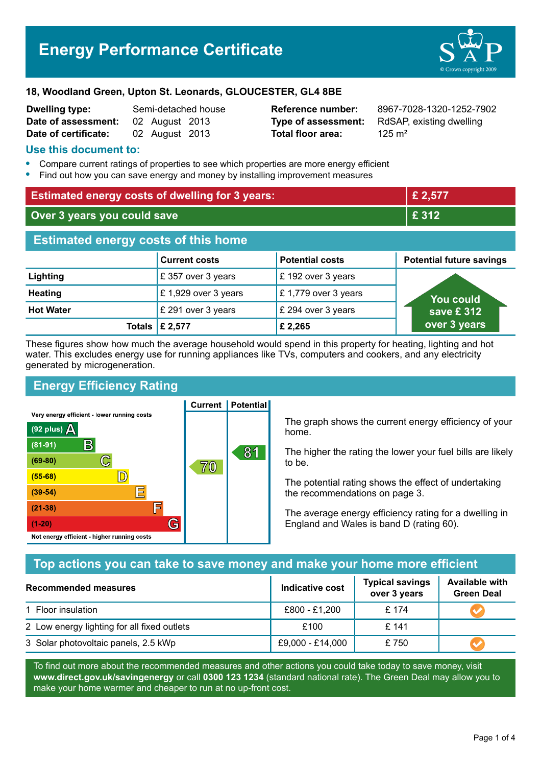# **Energy Performance Certificate**



### **18, Woodland Green, Upton St. Leonards, GLOUCESTER, GL4 8BE**

| <b>Dwelling type:</b> | Semi-detached house |                |  |
|-----------------------|---------------------|----------------|--|
| Date of assessment:   |                     | 02 August 2013 |  |
| Date of certificate:  |                     | 02 August 2013 |  |

**Total floor area:** 125 m<sup>2</sup>

**Reference number:** 8967-7028-1320-1252-7902 **Type of assessment:** RdSAP, existing dwelling

## **Use this document to:**

- **•** Compare current ratings of properties to see which properties are more energy efficient
- **•** Find out how you can save energy and money by installing improvement measures

| <b>Estimated energy costs of dwelling for 3 years:</b> |                           |                        | £ 2,577                         |  |
|--------------------------------------------------------|---------------------------|------------------------|---------------------------------|--|
| Over 3 years you could save                            |                           | £ 312                  |                                 |  |
| <b>Estimated energy costs of this home</b>             |                           |                        |                                 |  |
|                                                        | <b>Current costs</b>      | <b>Potential costs</b> | <b>Potential future savings</b> |  |
| Lighting                                               | £ 357 over 3 years        | £ 192 over 3 years     |                                 |  |
| <b>Heating</b>                                         | £1,929 over 3 years       | £1,779 over 3 years    | <b>You could</b>                |  |
| <b>Hot Water</b>                                       | £ 291 over 3 years        | £ 294 over 3 years     | save £ 312 $^{\circ}$           |  |
|                                                        | Totals $\mathsf{E}$ 2,577 | £ 2,265                | over 3 years                    |  |

These figures show how much the average household would spend in this property for heating, lighting and hot water. This excludes energy use for running appliances like TVs, computers and cookers, and any electricity generated by microgeneration.

# **Energy Efficiency Rating**

Very energy efficient - lower running costs



**Current | Potential** 

The graph shows the current energy efficiency of your home.

The higher the rating the lower your fuel bills are likely to be.

The potential rating shows the effect of undertaking the recommendations on page 3.

The average energy efficiency rating for a dwelling in England and Wales is band D (rating 60).

# **Top actions you can take to save money and make your home more efficient**

| <b>Recommended measures</b>                 | Indicative cost  | <b>Typical savings</b><br>over 3 years | <b>Available with</b><br><b>Green Deal</b> |
|---------------------------------------------|------------------|----------------------------------------|--------------------------------------------|
| 1 Floor insulation                          | £800 - £1,200    | £ 174                                  |                                            |
| 2 Low energy lighting for all fixed outlets | £100             | £141                                   |                                            |
| 3 Solar photovoltaic panels, 2.5 kWp        | £9,000 - £14,000 | £750                                   |                                            |

To find out more about the recommended measures and other actions you could take today to save money, visit **www.direct.gov.uk/savingenergy** or call **0300 123 1234** (standard national rate). The Green Deal may allow you to make your home warmer and cheaper to run at no up-front cost.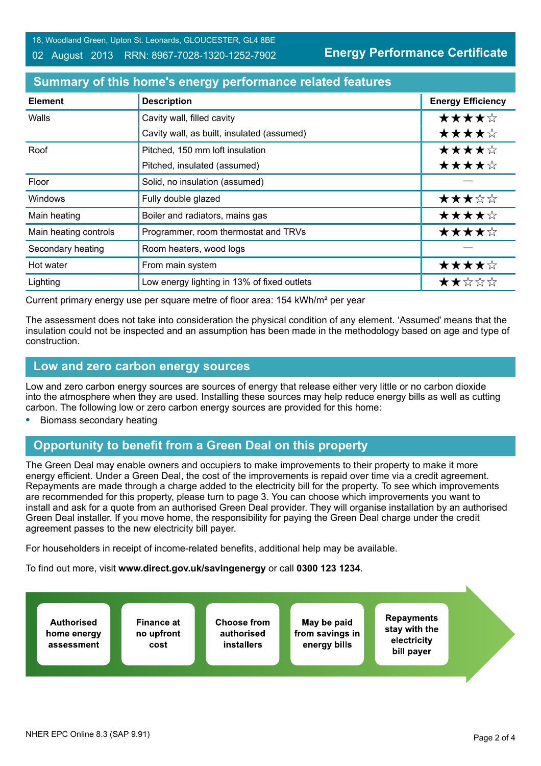18, Woodland Green, Upton St. Leonards, GLOUCESTER, GL4 8BE

#### 02 August 2013 RRN: 8967-7028-1320-1252-7902

**Energy Performance Certificate**

# **Summary of this home's energy performance related features**

| <b>Element</b>        | <b>Description</b>                          | <b>Energy Efficiency</b> |
|-----------------------|---------------------------------------------|--------------------------|
| Walls                 | Cavity wall, filled cavity                  | ★★★★☆                    |
|                       | Cavity wall, as built, insulated (assumed)  | ★★★★☆                    |
| Roof                  | Pitched, 150 mm loft insulation             | ★★★★☆                    |
|                       | Pitched, insulated (assumed)                | ★★★★☆                    |
| Floor                 | Solid, no insulation (assumed)              |                          |
| <b>Windows</b>        | Fully double glazed                         | ★★★☆☆                    |
| Main heating          | Boiler and radiators, mains gas             | ★★★★☆                    |
| Main heating controls | Programmer, room thermostat and TRVs        | ★★★★☆                    |
| Secondary heating     | Room heaters, wood logs                     |                          |
| Hot water             | From main system                            | ★★★★☆                    |
| Lighting              | Low energy lighting in 13% of fixed outlets | ★★☆☆☆                    |

Current primary energy use per square metre of floor area: 154 kWh/m² per year

The assessment does not take into consideration the physical condition of any element. 'Assumed' means that the insulation could not be inspected and an assumption has been made in the methodology based on age and type of construction.

## **Low and zero carbon energy sources**

Low and zero carbon energy sources are sources of energy that release either very little or no carbon dioxide into the atmosphere when they are used. Installing these sources may help reduce energy bills as well as cutting carbon. The following low or zero carbon energy sources are provided for this home:

**•** Biomass secondary heating

# **Opportunity to benefit from a Green Deal on this property**

The Green Deal may enable owners and occupiers to make improvements to their property to make it more energy efficient. Under a Green Deal, the cost of the improvements is repaid over time via a credit agreement. Repayments are made through a charge added to the electricity bill for the property. To see which improvements are recommended for this property, please turn to page 3. You can choose which improvements you want to install and ask for a quote from an authorised Green Deal provider. They will organise installation by an authorised Green Deal installer. If you move home, the responsibility for paying the Green Deal charge under the credit agreement passes to the new electricity bill payer.

For householders in receipt of income-related benefits, additional help may be available.

To find out more, visit **www.direct.gov.uk/savingenergy** or call **0300 123 1234**.

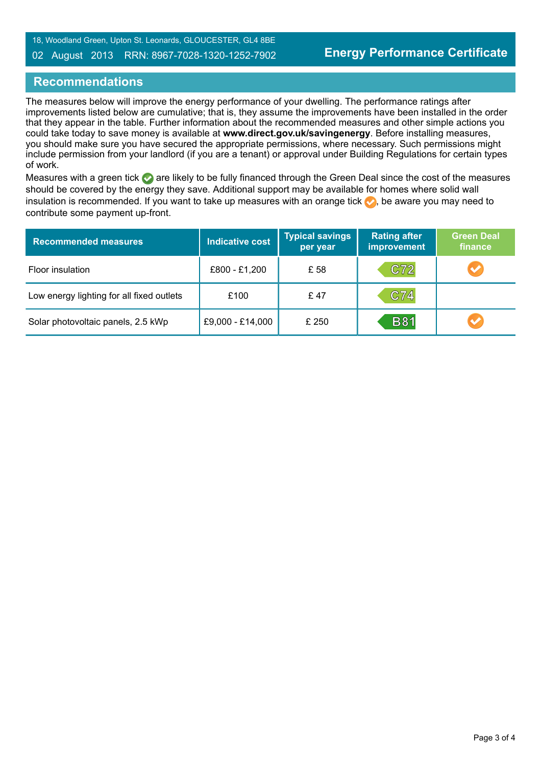18, Woodland Green, Upton St. Leonards, GLOUCESTER, GL4 8BE

#### 02 August 2013 RRN: 8967-7028-1320-1252-7902

# **Recommendations**

The measures below will improve the energy performance of your dwelling. The performance ratings after improvements listed below are cumulative; that is, they assume the improvements have been installed in the order that they appear in the table. Further information about the recommended measures and other simple actions you could take today to save money is available at **www.direct.gov.uk/savingenergy**. Before installing measures, you should make sure you have secured the appropriate permissions, where necessary. Such permissions might include permission from your landlord (if you are a tenant) or approval under Building Regulations for certain types of work.

Measures with a green tick are likely to be fully financed through the Green Deal since the cost of the measures should be covered by the energy they save. Additional support may be available for homes where solid wall insulation is recommended. If you want to take up measures with an orange tick  $\bullet$ , be aware you may need to contribute some payment up-front.

| <b>Recommended measures</b>               | <b>Indicative cost</b> | <b>Typical savings</b><br>per year | <b>Rating after</b><br><b>improvement</b> | <b>Green Deal</b><br>finance |
|-------------------------------------------|------------------------|------------------------------------|-------------------------------------------|------------------------------|
| Floor insulation                          | £800 - £1,200          | £ 58                               | C72                                       | $\blacktriangledown$         |
| Low energy lighting for all fixed outlets | £100                   | £47                                | C74                                       |                              |
| Solar photovoltaic panels, 2.5 kWp        | £9,000 - £14,000       | £ 250                              | <b>B81</b>                                | $\blacktriangledown$         |